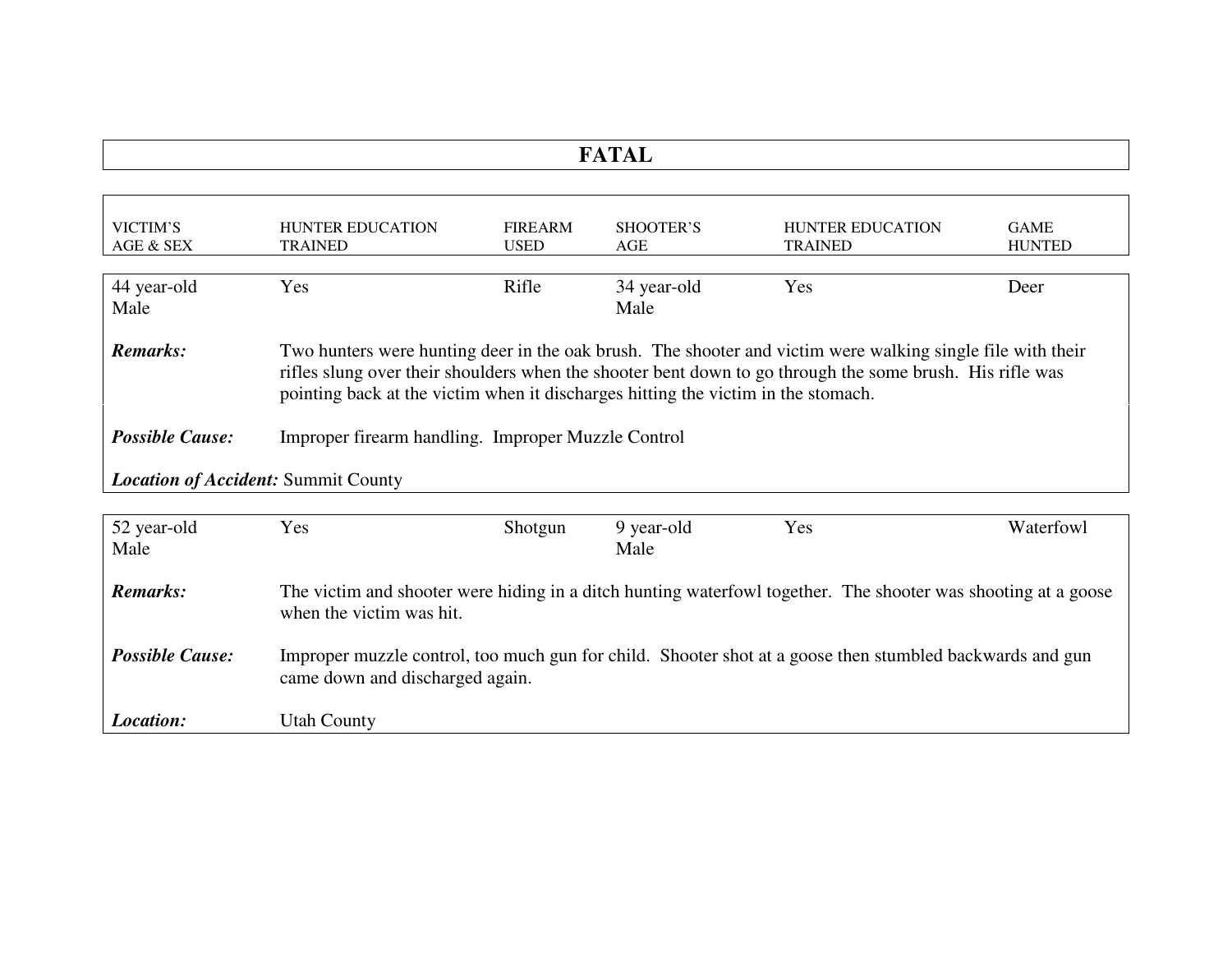| $\blacksquare$<br>. |
|---------------------|
|                     |

| VICTIM'S<br>AGE & SEX                      | <b>HUNTER EDUCATION</b><br><b>TRAINED</b>                                                                                                                                                                                                                                                                   | <b>FIREARM</b><br><b>USED</b> | SHOOTER'S<br>AGE    | <b>HUNTER EDUCATION</b><br><b>TRAINED</b> | <b>GAME</b><br><b>HUNTED</b> |
|--------------------------------------------|-------------------------------------------------------------------------------------------------------------------------------------------------------------------------------------------------------------------------------------------------------------------------------------------------------------|-------------------------------|---------------------|-------------------------------------------|------------------------------|
| 44 year-old<br>Male                        | Yes                                                                                                                                                                                                                                                                                                         | Rifle                         | 34 year-old<br>Male | Yes                                       | Deer                         |
| Remarks:                                   | Two hunters were hunting deer in the oak brush. The shooter and victim were walking single file with their<br>rifles slung over their shoulders when the shooter bent down to go through the some brush. His rifle was<br>pointing back at the victim when it discharges hitting the victim in the stomach. |                               |                     |                                           |                              |
| <b>Possible Cause:</b>                     | Improper firearm handling. Improper Muzzle Control                                                                                                                                                                                                                                                          |                               |                     |                                           |                              |
| <b>Location of Accident: Summit County</b> |                                                                                                                                                                                                                                                                                                             |                               |                     |                                           |                              |

| 52 year-old            | Yes                                                                                                                                         | Shotgun | 9 year-old | Yes | Waterfowl |
|------------------------|---------------------------------------------------------------------------------------------------------------------------------------------|---------|------------|-----|-----------|
| Male                   |                                                                                                                                             |         | Male       |     |           |
| <b>Remarks:</b>        | The victim and shooter were hiding in a ditch hunting waterfowl together. The shooter was shooting at a goose<br>when the victim was hit.   |         |            |     |           |
| <b>Possible Cause:</b> | Improper muzzle control, too much gun for child. Shooter shot at a goose then stumbled backwards and gun<br>came down and discharged again. |         |            |     |           |
| <i>Location:</i>       | <b>Utah County</b>                                                                                                                          |         |            |     |           |